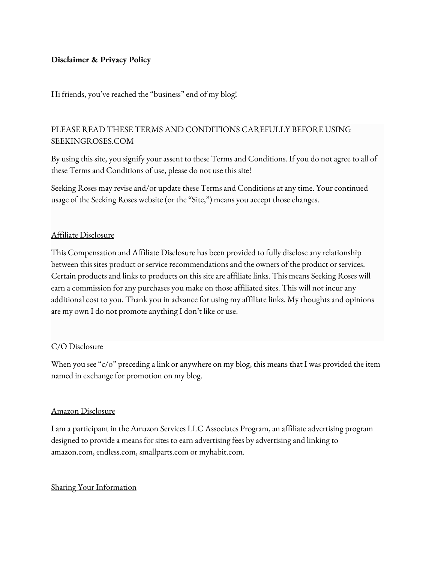#### **Disclaimer & Privacy Policy**

Hi friends, you've reached the "business" end of my blog!

# PLEASE READ THESE TERMS AND CONDITIONS CAREFULLY BEFORE USING SEEKINGROSES.COM

By using this site, you signify your assent to these Terms and Conditions. If you do not agree to all of these Terms and Conditions of use, please do not use this site!

Seeking Roses may revise and/or update these Terms and Conditions at any time. Your continued usage of the Seeking Roses website (or the "Site,") means you accept those changes.

#### Affiliate Disclosure

This Compensation and Affiliate Disclosure has been provided to fully disclose any relationship between this sites product or service recommendations and the owners of the product or services. Certain products and links to products on this site are affiliate links. This means Seeking Roses will earn a commission for any purchases you make on those affiliated sites. This will not incur any additional cost to you. Thank you in advance for using my affiliate links. My thoughts and opinions are my own I do not promote anything I don't like or use.

#### C/O Disclosure

When you see "c/o" preceding a link or anywhere on my blog, this means that I was provided the item named in exchange for promotion on my blog.

#### Amazon Disclosure

I am a participant in the Amazon Services LLC Associates Program, an affiliate advertising program designed to provide a means for sites to earn advertising fees by advertising and linking to amazon.com, endless.com, smallparts.com or myhabit.com.

#### Sharing Your Information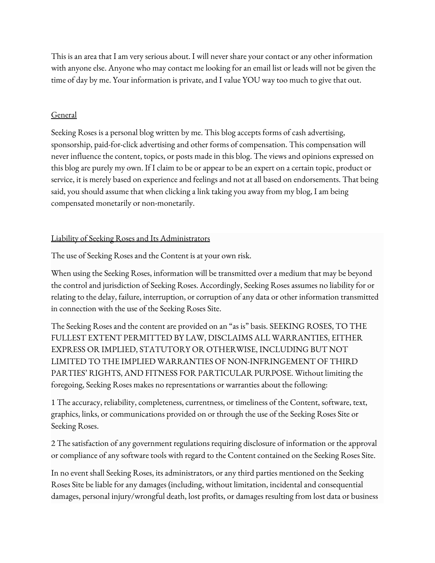This is an area that I am very serious about. I will never share your contact or any other information with anyone else. Anyone who may contact me looking for an email list or leads will not be given the time of day by me. Your information is private, and I value YOU way too much to give that out.

### General

Seeking Roses is a personal blog written by me. This blog accepts forms of cash advertising, sponsorship, paid-for-click advertising and other forms of compensation. This compensation will never influence the content, topics, or posts made in this blog. The views and opinions expressed on this blog are purely my own. If I claim to be or appear to be an expert on a certain topic, product or service, it is merely based on experience and feelings and not at all based on endorsements. That being said, you should assume that when clicking a link taking you away from my blog, I am being compensated monetarily or non-monetarily.

### Liability of Seeking Roses and Its Administrators

The use of Seeking Roses and the Content is at your own risk.

When using the Seeking Roses, information will be transmitted over a medium that may be beyond the control and jurisdiction of Seeking Roses. Accordingly, Seeking Roses assumes no liability for or relating to the delay, failure, interruption, or corruption of any data or other information transmitted in connection with the use of the Seeking Roses Site.

The Seeking Roses and the content are provided on an "as is" basis. SEEKING ROSES, TO THE FULLEST EXTENT PERMITTED BY LAW, DISCLAIMS ALL WARRANTIES, EITHER EXPRESS OR IMPLIED, STATUTORY OR OTHERWISE, INCLUDING BUT NOT LIMITED TO THE IMPLIED WARRANTIES OF NON-INFRINGEMENT OF THIRD PARTIES' RIGHTS, AND FITNESS FOR PARTICULAR PURPOSE. Without limiting the foregoing, Seeking Roses makes no representations or warranties about the following:

1 The accuracy, reliability, completeness, currentness, or timeliness of the Content, software, text, graphics, links, or communications provided on or through the use of the Seeking Roses Site or Seeking Roses.

2 The satisfaction of any government regulations requiring disclosure of information or the approval or compliance of any software tools with regard to the Content contained on the Seeking Roses Site.

In no event shall Seeking Roses, its administrators, or any third parties mentioned on the Seeking Roses Site be liable for any damages (including, without limitation, incidental and consequential damages, personal injury/wrongful death, lost profits, or damages resulting from lost data or business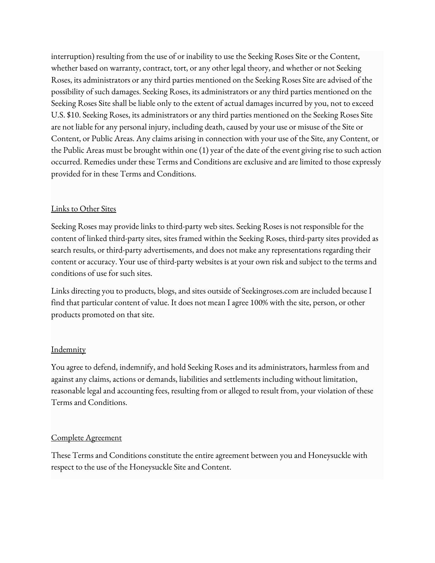interruption) resulting from the use of or inability to use the Seeking Roses Site or the Content, whether based on warranty, contract, tort, or any other legal theory, and whether or not Seeking Roses, its administrators or any third parties mentioned on the Seeking Roses Site are advised of the possibility of such damages. Seeking Roses, its administrators or any third parties mentioned on the Seeking Roses Site shall be liable only to the extent of actual damages incurred by you, not to exceed U.S. \$10. Seeking Roses, its administrators or any third parties mentioned on the Seeking Roses Site are not liable for any personal injury, including death, caused by your use or misuse of the Site or Content, or Public Areas. Any claims arising in connection with your use of the Site, any Content, or the Public Areas must be brought within one (1) year of the date of the event giving rise to such action occurred. Remedies under these Terms and Conditions are exclusive and are limited to those expressly provided for in these Terms and Conditions.

### Links to Other Sites

Seeking Roses may provide links to third-party web sites. Seeking Roses is not responsible for the content of linked third-party sites, sites framed within the Seeking Roses, third-party sites provided as search results, or third-party advertisements, and does not make any representations regarding their content or accuracy. Your use of third-party websites is at your own risk and subject to the terms and conditions of use for such sites.

Links directing you to products, blogs, and sites outside of Seekingroses.com are included because I find that particular content of value. It does not mean I agree 100% with the site, person, or other products promoted on that site.

## **Indemnity**

You agree to defend, indemnify, and hold Seeking Roses and its administrators, harmless from and against any claims, actions or demands, liabilities and settlements including without limitation, reasonable legal and accounting fees, resulting from or alleged to result from, your violation of these Terms and Conditions.

## Complete Agreement

These Terms and Conditions constitute the entire agreement between you and Honeysuckle with respect to the use of the Honeysuckle Site and Content.